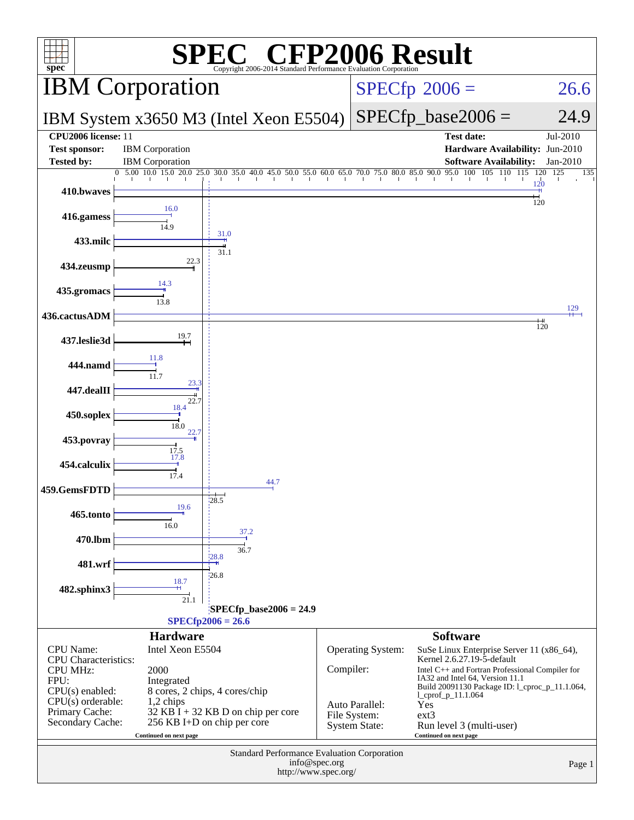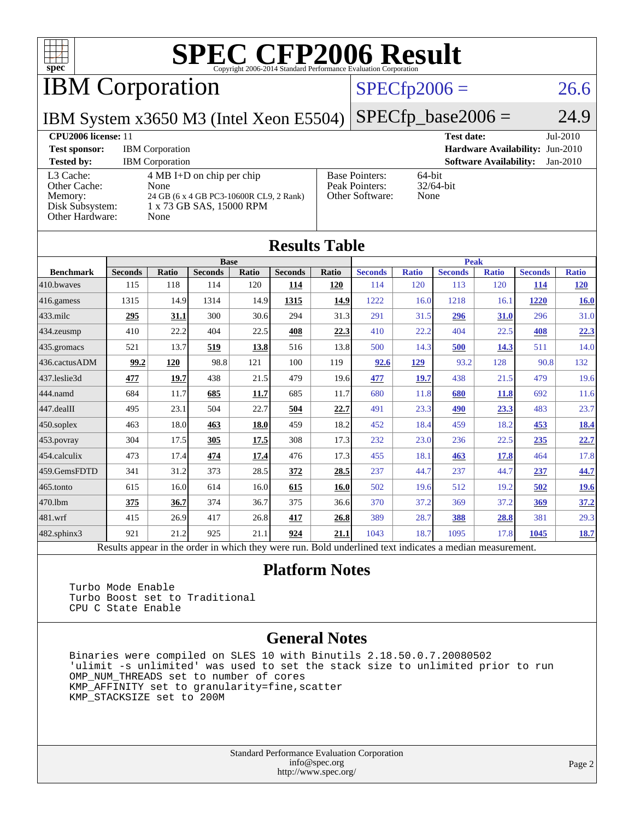

IBM Corporation

#### $SPECfp2006 = 26.6$  $SPECfp2006 = 26.6$

IBM System x3650 M3 (Intel Xeon E5504)

 $SPECTp\_base2006 = 24.9$ 

| CPU <sub>2006</sub> license: 11                                            |                                                                                                                            | <b>Test date:</b><br>$Jul-2010$                            |                                             |
|----------------------------------------------------------------------------|----------------------------------------------------------------------------------------------------------------------------|------------------------------------------------------------|---------------------------------------------|
| <b>Test sponsor:</b>                                                       | <b>IBM</b> Corporation                                                                                                     |                                                            | <b>Hardware Availability: Jun-2010</b>      |
| <b>Tested by:</b>                                                          | <b>IBM</b> Corporation                                                                                                     |                                                            | <b>Software Availability:</b><br>$Jan-2010$ |
| L3 Cache:<br>Other Cache:<br>Memory:<br>Disk Subsystem:<br>Other Hardware: | $4 \text{ MB I+D}$ on chip per chip<br>None<br>24 GB (6 x 4 GB PC3-10600R CL9, 2 Rank)<br>1 x 73 GB SAS, 15000 RPM<br>None | <b>Base Pointers:</b><br>Peak Pointers:<br>Other Software: | $64$ -bit<br>$32/64$ -bit<br>None           |

**[Results Table](http://www.spec.org/auto/cpu2006/Docs/result-fields.html#ResultsTable)**

| Results Table                                                                                            |                |              |                |       |                |       |                |              |                |              |                |              |
|----------------------------------------------------------------------------------------------------------|----------------|--------------|----------------|-------|----------------|-------|----------------|--------------|----------------|--------------|----------------|--------------|
|                                                                                                          |                |              | <b>Base</b>    |       |                |       | <b>Peak</b>    |              |                |              |                |              |
| <b>Benchmark</b>                                                                                         | <b>Seconds</b> | <b>Ratio</b> | <b>Seconds</b> | Ratio | <b>Seconds</b> | Ratio | <b>Seconds</b> | <b>Ratio</b> | <b>Seconds</b> | <b>Ratio</b> | <b>Seconds</b> | <b>Ratio</b> |
| 410.bwaves                                                                                               | 115            | 118          | 114            | 120   | 114            | 120   | 114            | 120          | 113            | 120          | <b>114</b>     | <b>120</b>   |
| 416.gamess                                                                                               | 1315           | 14.9         | 1314           | 14.9  | 1315           | 14.9  | 1222           | 16.0         | 1218           | 16.1         | 1220           | 16.0         |
| $433$ .milc                                                                                              | 295            | 31.1         | 300            | 30.6  | 294            | 31.3  | 291            | 31.5         | 296            | 31.0         | 296            | 31.0         |
| $434$ . zeusmp                                                                                           | 410            | 22.2         | 404            | 22.5  | 408            | 22.3  | 410            | 22.2         | 404            | 22.5         | 408            | 22.3         |
| 435.gromacs                                                                                              | 521            | 13.7         | 519            | 13.8  | 516            | 13.8  | 500            | 14.3         | 500            | 14.3         | 511            | 14.0         |
| 436.cactusADM                                                                                            | 99.2           | 120          | 98.8           | 121   | 100            | 119   | 92.6           | 129          | 93.2           | 128          | 90.8           | 132          |
| 437.leslie3d                                                                                             | 477            | 19.7         | 438            | 21.5  | 479            | 19.6  | 477            | <b>19.7</b>  | 438            | 21.5         | 479            | 19.6         |
| 444.namd                                                                                                 | 684            | 11.7         | 685            | 11.7  | 685            | 11.7  | 680            | 11.8         | 680            | 11.8         | 692            | 11.6         |
| 447.dealII                                                                                               | 495            | 23.1         | 504            | 22.7  | 504            | 22.7  | 491            | 23.3         | 490            | 23.3         | 483            | 23.7         |
| $450$ .soplex                                                                                            | 463            | 18.0         | 463            | 18.0  | 459            | 18.2  | 452            | 18.4         | 459            | 18.2         | 453            | <b>18.4</b>  |
| 453.povray                                                                                               | 304            | 17.5         | 305            | 17.5  | 308            | 17.3  | 232            | 23.0         | 236            | 22.5         | 235            | 22.7         |
| $ 454$ .calculix                                                                                         | 473            | 17.4         | 474            | 17.4  | 476            | 17.3  | 455            | 18.1         | 463            | 17.8         | 464            | 17.8         |
| 459.GemsFDTD                                                                                             | 341            | 31.2         | 373            | 28.5  | 372            | 28.5  | 237            | 44.7         | 237            | 44.7         | 237            | 44.7         |
| $465$ .tonto                                                                                             | 615            | 16.0         | 614            | 16.0  | 615            | 16.0  | 502            | 19.6         | 512            | 19.2         | 502            | <u>19.6</u>  |
| 470.1bm                                                                                                  | 375            | 36.7         | 374            | 36.7  | 375            | 36.6  | 370            | 37.2         | 369            | 37.2         | 369            | 37.2         |
| 481.wrf                                                                                                  | 415            | 26.9         | 417            | 26.8  | 417            | 26.8  | 389            | 28.7         | 388            | 28.8         | 381            | 29.3         |
| 482.sphinx3                                                                                              | 921            | 21.2         | 925            | 21.1  | 924            | 21.1  | 1043           | 18.7         | 1095           | 17.8         | 1045           | <b>18.7</b>  |
| Results appear in the order in which they were run. Bold underlined text indicates a median measurement. |                |              |                |       |                |       |                |              |                |              |                |              |

#### **[Platform Notes](http://www.spec.org/auto/cpu2006/Docs/result-fields.html#PlatformNotes)**

 Turbo Mode Enable Turbo Boost set to Traditional CPU C State Enable

#### **[General Notes](http://www.spec.org/auto/cpu2006/Docs/result-fields.html#GeneralNotes)**

 Binaries were compiled on SLES 10 with Binutils 2.18.50.0.7.20080502 'ulimit -s unlimited' was used to set the stack size to unlimited prior to run OMP\_NUM\_THREADS set to number of cores KMP\_AFFINITY set to granularity=fine,scatter KMP\_STACKSIZE set to 200M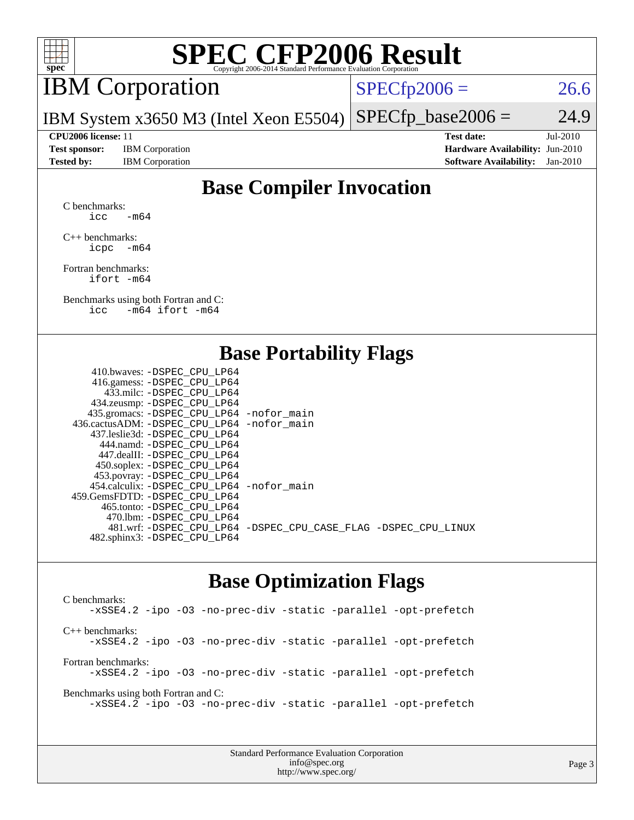

## IBM Corporation

 $SPECTp2006 = 26.6$ 

IBM System x3650 M3 (Intel Xeon E5504)  $SPECfp\_base2006 = 24.9$ 

**[Test sponsor:](http://www.spec.org/auto/cpu2006/Docs/result-fields.html#Testsponsor)** IBM Corporation **[Hardware Availability:](http://www.spec.org/auto/cpu2006/Docs/result-fields.html#HardwareAvailability)** Jun-2010

**[CPU2006 license:](http://www.spec.org/auto/cpu2006/Docs/result-fields.html#CPU2006license)** 11 **[Test date:](http://www.spec.org/auto/cpu2006/Docs/result-fields.html#Testdate)** Jul-2010 **[Tested by:](http://www.spec.org/auto/cpu2006/Docs/result-fields.html#Testedby)** IBM Corporation **[Software Availability:](http://www.spec.org/auto/cpu2006/Docs/result-fields.html#SoftwareAvailability)** Jan-2010

### **[Base Compiler Invocation](http://www.spec.org/auto/cpu2006/Docs/result-fields.html#BaseCompilerInvocation)**

[C benchmarks](http://www.spec.org/auto/cpu2006/Docs/result-fields.html#Cbenchmarks): icc  $-m64$ 

[C++ benchmarks:](http://www.spec.org/auto/cpu2006/Docs/result-fields.html#CXXbenchmarks) [icpc -m64](http://www.spec.org/cpu2006/results/res2010q3/cpu2006-20100802-12748.flags.html#user_CXXbase_intel_icpc_64bit_bedb90c1146cab66620883ef4f41a67e)

[Fortran benchmarks](http://www.spec.org/auto/cpu2006/Docs/result-fields.html#Fortranbenchmarks): [ifort -m64](http://www.spec.org/cpu2006/results/res2010q3/cpu2006-20100802-12748.flags.html#user_FCbase_intel_ifort_64bit_ee9d0fb25645d0210d97eb0527dcc06e)

[Benchmarks using both Fortran and C](http://www.spec.org/auto/cpu2006/Docs/result-fields.html#BenchmarksusingbothFortranandC): [icc -m64](http://www.spec.org/cpu2006/results/res2010q3/cpu2006-20100802-12748.flags.html#user_CC_FCbase_intel_icc_64bit_0b7121f5ab7cfabee23d88897260401c) [ifort -m64](http://www.spec.org/cpu2006/results/res2010q3/cpu2006-20100802-12748.flags.html#user_CC_FCbase_intel_ifort_64bit_ee9d0fb25645d0210d97eb0527dcc06e)

#### **[Base Portability Flags](http://www.spec.org/auto/cpu2006/Docs/result-fields.html#BasePortabilityFlags)**

| 410.bwaves: -DSPEC CPU LP64                 |                                                                |
|---------------------------------------------|----------------------------------------------------------------|
| 416.gamess: - DSPEC_CPU_LP64                |                                                                |
| 433.milc: -DSPEC CPU LP64                   |                                                                |
| 434.zeusmp: -DSPEC_CPU_LP64                 |                                                                |
| 435.gromacs: -DSPEC_CPU_LP64 -nofor_main    |                                                                |
| 436.cactusADM: -DSPEC CPU LP64 -nofor main  |                                                                |
| 437.leslie3d: -DSPEC CPU LP64               |                                                                |
| 444.namd: -DSPEC CPU LP64                   |                                                                |
| 447.dealII: -DSPEC CPU LP64                 |                                                                |
| 450.soplex: -DSPEC_CPU_LP64                 |                                                                |
| 453.povray: -DSPEC_CPU_LP64                 |                                                                |
| 454.calculix: - DSPEC CPU LP64 - nofor main |                                                                |
| 459.GemsFDTD: -DSPEC CPU LP64               |                                                                |
| 465.tonto: - DSPEC CPU LP64                 |                                                                |
| 470.1bm: - DSPEC CPU LP64                   |                                                                |
|                                             | 481.wrf: -DSPEC_CPU_LP64 -DSPEC_CPU_CASE_FLAG -DSPEC_CPU_LINUX |
| 482.sphinx3: -DSPEC_CPU_LP64                |                                                                |
|                                             |                                                                |

### **[Base Optimization Flags](http://www.spec.org/auto/cpu2006/Docs/result-fields.html#BaseOptimizationFlags)**

[C benchmarks](http://www.spec.org/auto/cpu2006/Docs/result-fields.html#Cbenchmarks): [-xSSE4.2](http://www.spec.org/cpu2006/results/res2010q3/cpu2006-20100802-12748.flags.html#user_CCbase_f-xSSE42_f91528193cf0b216347adb8b939d4107) [-ipo](http://www.spec.org/cpu2006/results/res2010q3/cpu2006-20100802-12748.flags.html#user_CCbase_f-ipo) [-O3](http://www.spec.org/cpu2006/results/res2010q3/cpu2006-20100802-12748.flags.html#user_CCbase_f-O3) [-no-prec-div](http://www.spec.org/cpu2006/results/res2010q3/cpu2006-20100802-12748.flags.html#user_CCbase_f-no-prec-div) [-static](http://www.spec.org/cpu2006/results/res2010q3/cpu2006-20100802-12748.flags.html#user_CCbase_f-static) [-parallel](http://www.spec.org/cpu2006/results/res2010q3/cpu2006-20100802-12748.flags.html#user_CCbase_f-parallel) [-opt-prefetch](http://www.spec.org/cpu2006/results/res2010q3/cpu2006-20100802-12748.flags.html#user_CCbase_f-opt-prefetch) [C++ benchmarks:](http://www.spec.org/auto/cpu2006/Docs/result-fields.html#CXXbenchmarks) [-xSSE4.2](http://www.spec.org/cpu2006/results/res2010q3/cpu2006-20100802-12748.flags.html#user_CXXbase_f-xSSE42_f91528193cf0b216347adb8b939d4107) [-ipo](http://www.spec.org/cpu2006/results/res2010q3/cpu2006-20100802-12748.flags.html#user_CXXbase_f-ipo) [-O3](http://www.spec.org/cpu2006/results/res2010q3/cpu2006-20100802-12748.flags.html#user_CXXbase_f-O3) [-no-prec-div](http://www.spec.org/cpu2006/results/res2010q3/cpu2006-20100802-12748.flags.html#user_CXXbase_f-no-prec-div) [-static](http://www.spec.org/cpu2006/results/res2010q3/cpu2006-20100802-12748.flags.html#user_CXXbase_f-static) [-parallel](http://www.spec.org/cpu2006/results/res2010q3/cpu2006-20100802-12748.flags.html#user_CXXbase_f-parallel) [-opt-prefetch](http://www.spec.org/cpu2006/results/res2010q3/cpu2006-20100802-12748.flags.html#user_CXXbase_f-opt-prefetch) [Fortran benchmarks](http://www.spec.org/auto/cpu2006/Docs/result-fields.html#Fortranbenchmarks): [-xSSE4.2](http://www.spec.org/cpu2006/results/res2010q3/cpu2006-20100802-12748.flags.html#user_FCbase_f-xSSE42_f91528193cf0b216347adb8b939d4107) [-ipo](http://www.spec.org/cpu2006/results/res2010q3/cpu2006-20100802-12748.flags.html#user_FCbase_f-ipo) [-O3](http://www.spec.org/cpu2006/results/res2010q3/cpu2006-20100802-12748.flags.html#user_FCbase_f-O3) [-no-prec-div](http://www.spec.org/cpu2006/results/res2010q3/cpu2006-20100802-12748.flags.html#user_FCbase_f-no-prec-div) [-static](http://www.spec.org/cpu2006/results/res2010q3/cpu2006-20100802-12748.flags.html#user_FCbase_f-static) [-parallel](http://www.spec.org/cpu2006/results/res2010q3/cpu2006-20100802-12748.flags.html#user_FCbase_f-parallel) [-opt-prefetch](http://www.spec.org/cpu2006/results/res2010q3/cpu2006-20100802-12748.flags.html#user_FCbase_f-opt-prefetch) [Benchmarks using both Fortran and C](http://www.spec.org/auto/cpu2006/Docs/result-fields.html#BenchmarksusingbothFortranandC): [-xSSE4.2](http://www.spec.org/cpu2006/results/res2010q3/cpu2006-20100802-12748.flags.html#user_CC_FCbase_f-xSSE42_f91528193cf0b216347adb8b939d4107) [-ipo](http://www.spec.org/cpu2006/results/res2010q3/cpu2006-20100802-12748.flags.html#user_CC_FCbase_f-ipo) [-O3](http://www.spec.org/cpu2006/results/res2010q3/cpu2006-20100802-12748.flags.html#user_CC_FCbase_f-O3) [-no-prec-div](http://www.spec.org/cpu2006/results/res2010q3/cpu2006-20100802-12748.flags.html#user_CC_FCbase_f-no-prec-div) [-static](http://www.spec.org/cpu2006/results/res2010q3/cpu2006-20100802-12748.flags.html#user_CC_FCbase_f-static) [-parallel](http://www.spec.org/cpu2006/results/res2010q3/cpu2006-20100802-12748.flags.html#user_CC_FCbase_f-parallel) [-opt-prefetch](http://www.spec.org/cpu2006/results/res2010q3/cpu2006-20100802-12748.flags.html#user_CC_FCbase_f-opt-prefetch)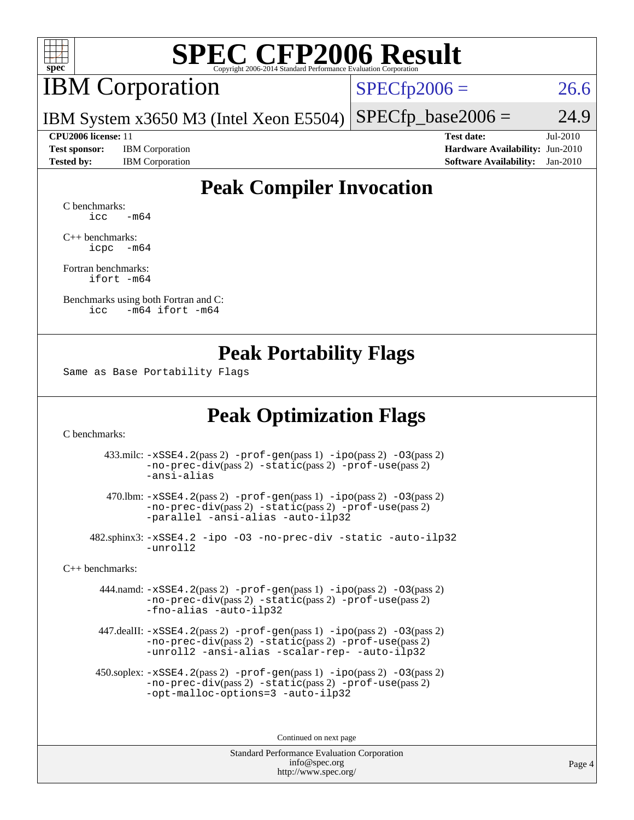

## IBM Corporation

 $SPECfp2006 = 26.6$  $SPECfp2006 = 26.6$ 

IBM System x3650 M3 (Intel Xeon E5504)  $SPECTp\_base2006 = 24.9$ 

**[Test sponsor:](http://www.spec.org/auto/cpu2006/Docs/result-fields.html#Testsponsor)** IBM Corporation **[Hardware Availability:](http://www.spec.org/auto/cpu2006/Docs/result-fields.html#HardwareAvailability)** Jun-2010

**[CPU2006 license:](http://www.spec.org/auto/cpu2006/Docs/result-fields.html#CPU2006license)** 11 **[Test date:](http://www.spec.org/auto/cpu2006/Docs/result-fields.html#Testdate)** Jul-2010 **[Tested by:](http://www.spec.org/auto/cpu2006/Docs/result-fields.html#Testedby)** IBM Corporation **[Software Availability:](http://www.spec.org/auto/cpu2006/Docs/result-fields.html#SoftwareAvailability)** Jan-2010

### **[Peak Compiler Invocation](http://www.spec.org/auto/cpu2006/Docs/result-fields.html#PeakCompilerInvocation)**

[C benchmarks](http://www.spec.org/auto/cpu2006/Docs/result-fields.html#Cbenchmarks):  $\text{icc}$   $-\text{m64}$ 

[C++ benchmarks:](http://www.spec.org/auto/cpu2006/Docs/result-fields.html#CXXbenchmarks) [icpc -m64](http://www.spec.org/cpu2006/results/res2010q3/cpu2006-20100802-12748.flags.html#user_CXXpeak_intel_icpc_64bit_bedb90c1146cab66620883ef4f41a67e)

[Fortran benchmarks](http://www.spec.org/auto/cpu2006/Docs/result-fields.html#Fortranbenchmarks): [ifort -m64](http://www.spec.org/cpu2006/results/res2010q3/cpu2006-20100802-12748.flags.html#user_FCpeak_intel_ifort_64bit_ee9d0fb25645d0210d97eb0527dcc06e)

[Benchmarks using both Fortran and C](http://www.spec.org/auto/cpu2006/Docs/result-fields.html#BenchmarksusingbothFortranandC): [icc -m64](http://www.spec.org/cpu2006/results/res2010q3/cpu2006-20100802-12748.flags.html#user_CC_FCpeak_intel_icc_64bit_0b7121f5ab7cfabee23d88897260401c) [ifort -m64](http://www.spec.org/cpu2006/results/res2010q3/cpu2006-20100802-12748.flags.html#user_CC_FCpeak_intel_ifort_64bit_ee9d0fb25645d0210d97eb0527dcc06e)

#### **[Peak Portability Flags](http://www.spec.org/auto/cpu2006/Docs/result-fields.html#PeakPortabilityFlags)**

Same as Base Portability Flags

### **[Peak Optimization Flags](http://www.spec.org/auto/cpu2006/Docs/result-fields.html#PeakOptimizationFlags)**

[C benchmarks](http://www.spec.org/auto/cpu2006/Docs/result-fields.html#Cbenchmarks):

 433.milc: [-xSSE4.2](http://www.spec.org/cpu2006/results/res2010q3/cpu2006-20100802-12748.flags.html#user_peakPASS2_CFLAGSPASS2_LDFLAGS433_milc_f-xSSE42_f91528193cf0b216347adb8b939d4107)(pass 2) [-prof-gen](http://www.spec.org/cpu2006/results/res2010q3/cpu2006-20100802-12748.flags.html#user_peakPASS1_CFLAGSPASS1_LDFLAGS433_milc_prof_gen_e43856698f6ca7b7e442dfd80e94a8fc)(pass 1) [-ipo](http://www.spec.org/cpu2006/results/res2010q3/cpu2006-20100802-12748.flags.html#user_peakPASS2_CFLAGSPASS2_LDFLAGS433_milc_f-ipo)(pass 2) [-O3](http://www.spec.org/cpu2006/results/res2010q3/cpu2006-20100802-12748.flags.html#user_peakPASS2_CFLAGSPASS2_LDFLAGS433_milc_f-O3)(pass 2) [-no-prec-div](http://www.spec.org/cpu2006/results/res2010q3/cpu2006-20100802-12748.flags.html#user_peakPASS2_CFLAGSPASS2_LDFLAGS433_milc_f-no-prec-div)(pass 2) [-static](http://www.spec.org/cpu2006/results/res2010q3/cpu2006-20100802-12748.flags.html#user_peakPASS2_CFLAGSPASS2_LDFLAGS433_milc_f-static)(pass 2) [-prof-use](http://www.spec.org/cpu2006/results/res2010q3/cpu2006-20100802-12748.flags.html#user_peakPASS2_CFLAGSPASS2_LDFLAGS433_milc_prof_use_bccf7792157ff70d64e32fe3e1250b55)(pass 2) [-ansi-alias](http://www.spec.org/cpu2006/results/res2010q3/cpu2006-20100802-12748.flags.html#user_peakOPTIMIZE433_milc_f-ansi-alias)

 470.lbm: [-xSSE4.2](http://www.spec.org/cpu2006/results/res2010q3/cpu2006-20100802-12748.flags.html#user_peakPASS2_CFLAGSPASS2_LDFLAGS470_lbm_f-xSSE42_f91528193cf0b216347adb8b939d4107)(pass 2) [-prof-gen](http://www.spec.org/cpu2006/results/res2010q3/cpu2006-20100802-12748.flags.html#user_peakPASS1_CFLAGSPASS1_LDFLAGS470_lbm_prof_gen_e43856698f6ca7b7e442dfd80e94a8fc)(pass 1) [-ipo](http://www.spec.org/cpu2006/results/res2010q3/cpu2006-20100802-12748.flags.html#user_peakPASS2_CFLAGSPASS2_LDFLAGS470_lbm_f-ipo)(pass 2) [-O3](http://www.spec.org/cpu2006/results/res2010q3/cpu2006-20100802-12748.flags.html#user_peakPASS2_CFLAGSPASS2_LDFLAGS470_lbm_f-O3)(pass 2) [-no-prec-div](http://www.spec.org/cpu2006/results/res2010q3/cpu2006-20100802-12748.flags.html#user_peakPASS2_CFLAGSPASS2_LDFLAGS470_lbm_f-no-prec-div)(pass 2) [-static](http://www.spec.org/cpu2006/results/res2010q3/cpu2006-20100802-12748.flags.html#user_peakPASS2_CFLAGSPASS2_LDFLAGS470_lbm_f-static)(pass 2) [-prof-use](http://www.spec.org/cpu2006/results/res2010q3/cpu2006-20100802-12748.flags.html#user_peakPASS2_CFLAGSPASS2_LDFLAGS470_lbm_prof_use_bccf7792157ff70d64e32fe3e1250b55)(pass 2) [-parallel](http://www.spec.org/cpu2006/results/res2010q3/cpu2006-20100802-12748.flags.html#user_peakOPTIMIZE470_lbm_f-parallel) [-ansi-alias](http://www.spec.org/cpu2006/results/res2010q3/cpu2006-20100802-12748.flags.html#user_peakOPTIMIZE470_lbm_f-ansi-alias) [-auto-ilp32](http://www.spec.org/cpu2006/results/res2010q3/cpu2006-20100802-12748.flags.html#user_peakCOPTIMIZE470_lbm_f-auto-ilp32)

 482.sphinx3: [-xSSE4.2](http://www.spec.org/cpu2006/results/res2010q3/cpu2006-20100802-12748.flags.html#user_peakOPTIMIZE482_sphinx3_f-xSSE42_f91528193cf0b216347adb8b939d4107) [-ipo](http://www.spec.org/cpu2006/results/res2010q3/cpu2006-20100802-12748.flags.html#user_peakOPTIMIZE482_sphinx3_f-ipo) [-O3](http://www.spec.org/cpu2006/results/res2010q3/cpu2006-20100802-12748.flags.html#user_peakOPTIMIZE482_sphinx3_f-O3) [-no-prec-div](http://www.spec.org/cpu2006/results/res2010q3/cpu2006-20100802-12748.flags.html#user_peakOPTIMIZE482_sphinx3_f-no-prec-div) [-static](http://www.spec.org/cpu2006/results/res2010q3/cpu2006-20100802-12748.flags.html#user_peakOPTIMIZE482_sphinx3_f-static) [-auto-ilp32](http://www.spec.org/cpu2006/results/res2010q3/cpu2006-20100802-12748.flags.html#user_peakCOPTIMIZE482_sphinx3_f-auto-ilp32) [-unroll2](http://www.spec.org/cpu2006/results/res2010q3/cpu2006-20100802-12748.flags.html#user_peakCOPTIMIZE482_sphinx3_f-unroll_784dae83bebfb236979b41d2422d7ec2)

[C++ benchmarks:](http://www.spec.org/auto/cpu2006/Docs/result-fields.html#CXXbenchmarks)

 444.namd: [-xSSE4.2](http://www.spec.org/cpu2006/results/res2010q3/cpu2006-20100802-12748.flags.html#user_peakPASS2_CXXFLAGSPASS2_LDFLAGS444_namd_f-xSSE42_f91528193cf0b216347adb8b939d4107)(pass 2) [-prof-gen](http://www.spec.org/cpu2006/results/res2010q3/cpu2006-20100802-12748.flags.html#user_peakPASS1_CXXFLAGSPASS1_LDFLAGS444_namd_prof_gen_e43856698f6ca7b7e442dfd80e94a8fc)(pass 1) [-ipo](http://www.spec.org/cpu2006/results/res2010q3/cpu2006-20100802-12748.flags.html#user_peakPASS2_CXXFLAGSPASS2_LDFLAGS444_namd_f-ipo)(pass 2) [-O3](http://www.spec.org/cpu2006/results/res2010q3/cpu2006-20100802-12748.flags.html#user_peakPASS2_CXXFLAGSPASS2_LDFLAGS444_namd_f-O3)(pass 2) [-no-prec-div](http://www.spec.org/cpu2006/results/res2010q3/cpu2006-20100802-12748.flags.html#user_peakPASS2_CXXFLAGSPASS2_LDFLAGS444_namd_f-no-prec-div)(pass 2) [-static](http://www.spec.org/cpu2006/results/res2010q3/cpu2006-20100802-12748.flags.html#user_peakPASS2_CXXFLAGSPASS2_LDFLAGS444_namd_f-static)(pass 2) [-prof-use](http://www.spec.org/cpu2006/results/res2010q3/cpu2006-20100802-12748.flags.html#user_peakPASS2_CXXFLAGSPASS2_LDFLAGS444_namd_prof_use_bccf7792157ff70d64e32fe3e1250b55)(pass 2) [-fno-alias](http://www.spec.org/cpu2006/results/res2010q3/cpu2006-20100802-12748.flags.html#user_peakOPTIMIZE444_namd_f-no-alias_694e77f6c5a51e658e82ccff53a9e63a) [-auto-ilp32](http://www.spec.org/cpu2006/results/res2010q3/cpu2006-20100802-12748.flags.html#user_peakCXXOPTIMIZE444_namd_f-auto-ilp32)

 447.dealII: [-xSSE4.2](http://www.spec.org/cpu2006/results/res2010q3/cpu2006-20100802-12748.flags.html#user_peakPASS2_CXXFLAGSPASS2_LDFLAGS447_dealII_f-xSSE42_f91528193cf0b216347adb8b939d4107)(pass 2) [-prof-gen](http://www.spec.org/cpu2006/results/res2010q3/cpu2006-20100802-12748.flags.html#user_peakPASS1_CXXFLAGSPASS1_LDFLAGS447_dealII_prof_gen_e43856698f6ca7b7e442dfd80e94a8fc)(pass 1) [-ipo](http://www.spec.org/cpu2006/results/res2010q3/cpu2006-20100802-12748.flags.html#user_peakPASS2_CXXFLAGSPASS2_LDFLAGS447_dealII_f-ipo)(pass 2) [-O3](http://www.spec.org/cpu2006/results/res2010q3/cpu2006-20100802-12748.flags.html#user_peakPASS2_CXXFLAGSPASS2_LDFLAGS447_dealII_f-O3)(pass 2) [-no-prec-div](http://www.spec.org/cpu2006/results/res2010q3/cpu2006-20100802-12748.flags.html#user_peakPASS2_CXXFLAGSPASS2_LDFLAGS447_dealII_f-no-prec-div)(pass 2) [-static](http://www.spec.org/cpu2006/results/res2010q3/cpu2006-20100802-12748.flags.html#user_peakPASS2_CXXFLAGSPASS2_LDFLAGS447_dealII_f-static)(pass 2) [-prof-use](http://www.spec.org/cpu2006/results/res2010q3/cpu2006-20100802-12748.flags.html#user_peakPASS2_CXXFLAGSPASS2_LDFLAGS447_dealII_prof_use_bccf7792157ff70d64e32fe3e1250b55)(pass 2) [-unroll2](http://www.spec.org/cpu2006/results/res2010q3/cpu2006-20100802-12748.flags.html#user_peakOPTIMIZE447_dealII_f-unroll_784dae83bebfb236979b41d2422d7ec2) [-ansi-alias](http://www.spec.org/cpu2006/results/res2010q3/cpu2006-20100802-12748.flags.html#user_peakOPTIMIZE447_dealII_f-ansi-alias) [-scalar-rep-](http://www.spec.org/cpu2006/results/res2010q3/cpu2006-20100802-12748.flags.html#user_peakOPTIMIZE447_dealII_f-disablescalarrep_abbcad04450fb118e4809c81d83c8a1d) [-auto-ilp32](http://www.spec.org/cpu2006/results/res2010q3/cpu2006-20100802-12748.flags.html#user_peakCXXOPTIMIZE447_dealII_f-auto-ilp32)

 450.soplex: [-xSSE4.2](http://www.spec.org/cpu2006/results/res2010q3/cpu2006-20100802-12748.flags.html#user_peakPASS2_CXXFLAGSPASS2_LDFLAGS450_soplex_f-xSSE42_f91528193cf0b216347adb8b939d4107)(pass 2) [-prof-gen](http://www.spec.org/cpu2006/results/res2010q3/cpu2006-20100802-12748.flags.html#user_peakPASS1_CXXFLAGSPASS1_LDFLAGS450_soplex_prof_gen_e43856698f6ca7b7e442dfd80e94a8fc)(pass 1) [-ipo](http://www.spec.org/cpu2006/results/res2010q3/cpu2006-20100802-12748.flags.html#user_peakPASS2_CXXFLAGSPASS2_LDFLAGS450_soplex_f-ipo)(pass 2) [-O3](http://www.spec.org/cpu2006/results/res2010q3/cpu2006-20100802-12748.flags.html#user_peakPASS2_CXXFLAGSPASS2_LDFLAGS450_soplex_f-O3)(pass 2) [-no-prec-div](http://www.spec.org/cpu2006/results/res2010q3/cpu2006-20100802-12748.flags.html#user_peakPASS2_CXXFLAGSPASS2_LDFLAGS450_soplex_f-no-prec-div)(pass 2) [-static](http://www.spec.org/cpu2006/results/res2010q3/cpu2006-20100802-12748.flags.html#user_peakPASS2_CXXFLAGSPASS2_LDFLAGS450_soplex_f-static)(pass 2) [-prof-use](http://www.spec.org/cpu2006/results/res2010q3/cpu2006-20100802-12748.flags.html#user_peakPASS2_CXXFLAGSPASS2_LDFLAGS450_soplex_prof_use_bccf7792157ff70d64e32fe3e1250b55)(pass 2) [-opt-malloc-options=3](http://www.spec.org/cpu2006/results/res2010q3/cpu2006-20100802-12748.flags.html#user_peakOPTIMIZE450_soplex_f-opt-malloc-options_13ab9b803cf986b4ee62f0a5998c2238) [-auto-ilp32](http://www.spec.org/cpu2006/results/res2010q3/cpu2006-20100802-12748.flags.html#user_peakCXXOPTIMIZE450_soplex_f-auto-ilp32)

Continued on next page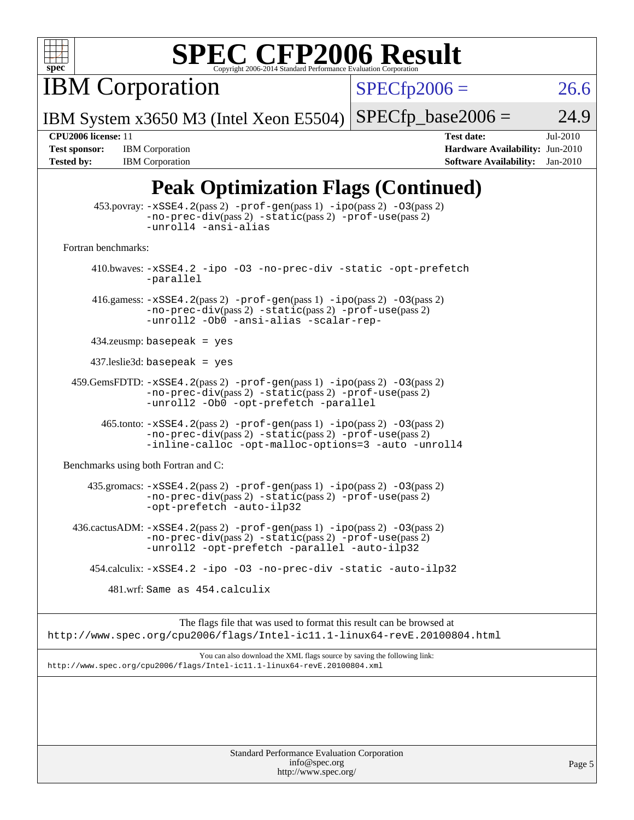

IBM Corporation

 $SPECfp2006 = 26.6$  $SPECfp2006 = 26.6$ 

Page 5

IBM System x3650 M3 (Intel Xeon E5504)  $SPECTp\_base2006 = 24.9$ 

**[Tested by:](http://www.spec.org/auto/cpu2006/Docs/result-fields.html#Testedby)** IBM Corporation **[Software Availability:](http://www.spec.org/auto/cpu2006/Docs/result-fields.html#SoftwareAvailability)** Jan-2010

**[CPU2006 license:](http://www.spec.org/auto/cpu2006/Docs/result-fields.html#CPU2006license)** 11 **[Test date:](http://www.spec.org/auto/cpu2006/Docs/result-fields.html#Testdate)** Jul-2010 **[Test sponsor:](http://www.spec.org/auto/cpu2006/Docs/result-fields.html#Testsponsor)** IBM Corporation **[Hardware Availability:](http://www.spec.org/auto/cpu2006/Docs/result-fields.html#HardwareAvailability)** Jun-2010

## **[Peak Optimization Flags \(Continued\)](http://www.spec.org/auto/cpu2006/Docs/result-fields.html#PeakOptimizationFlags)**

| $\frac{1}{2}$                                                                                                                                                                                      |  |
|----------------------------------------------------------------------------------------------------------------------------------------------------------------------------------------------------|--|
| $453.$ povray: $-xSSE4.2(pass2)$ -prof-gen $(pass1)$ -ipo $(pass2)$ -03 $(pass2)$<br>-no-prec-div(pass 2) -static(pass 2) -prof-use(pass 2)<br>-unroll4 -ansi-alias                                |  |
| Fortran benchmarks:                                                                                                                                                                                |  |
| 410.bwaves: -xSSE4.2 -ipo -03 -no-prec-div -static -opt-prefetch<br>-parallel                                                                                                                      |  |
| 416.gamess: $-xSSE4$ . 2(pass 2) $-prof-gen(pass 1) -ipo(pass 2) -O3(pass 2)$<br>-no-prec-div(pass 2) -static(pass 2) -prof-use(pass 2)<br>-unroll2 -Ob0 -ansi-alias -scalar-rep-                  |  |
| $434$ .zeusmp: basepeak = yes                                                                                                                                                                      |  |
| $437$ .leslie3d: basepeak = yes                                                                                                                                                                    |  |
| $459.GemsFDTD: -xSSE4.2(pass 2) -prof-gen(pass 1) -ipo(pass 2) -03(pass 2)$<br>$-no\text{-prec-div}(pass 2)$ $-static(pass 2)$ $-prot\text{-use}(pass 2)$<br>-unroll2 -Ob0 -opt-prefetch -parallel |  |
| 465.tonto: -xSSE4.2(pass 2) -prof-gen(pass 1) -ipo(pass 2) -03(pass 2)<br>-no-prec-div(pass 2) -static(pass 2) -prof-use(pass 2)<br>-inline-calloc -opt-malloc-options=3 -auto -unroll4            |  |
| Benchmarks using both Fortran and C:                                                                                                                                                               |  |
| 435.gromacs: -xSSE4.2(pass 2) -prof-gen(pass 1) -ipo(pass 2) -03(pass 2)<br>-no-prec-div(pass 2) -static(pass 2) -prof-use(pass 2)<br>-opt-prefetch -auto-ilp32                                    |  |
| 436.cactusADM: -xSSE4.2(pass 2) -prof-gen(pass 1) -ipo(pass 2) -03(pass 2)<br>-no-prec-div(pass 2) -static(pass 2) -prof-use(pass 2)<br>-unroll2 -opt-prefetch -parallel -auto-ilp32               |  |
| 454.calculix: -xSSE4.2 -ipo -03 -no-prec-div -static -auto-ilp32                                                                                                                                   |  |
| 481.wrf: Same as 454.calculix                                                                                                                                                                      |  |
| The flags file that was used to format this result can be browsed at<br>http://www.spec.org/cpu2006/flags/Intel-ic11.1-linux64-revE.20100804.html                                                  |  |
| You can also download the XML flags source by saving the following link:<br>http://www.spec.org/cpu2006/flags/Intel-ic11.1-linux64-revE.20100804.xml                                               |  |
|                                                                                                                                                                                                    |  |
| Standard Performance Evaluation Corporation                                                                                                                                                        |  |

[info@spec.org](mailto:info@spec.org) <http://www.spec.org/>